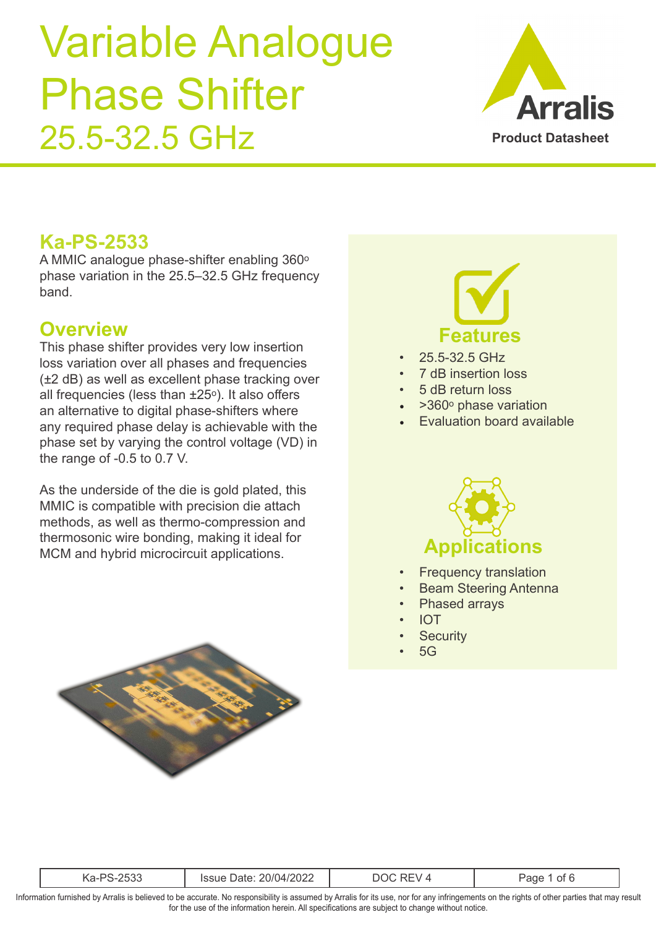

### **Ka-PS-2533**

A MMIC analogue phase-shifter enabling  $360^\circ$ phase variation in the 25.5–32.5 GHz frequency band.

### **Overview**

This phase shifter provides very low insertion loss variation over all phases and frequencies (±2 dB) as well as excellent phase tracking over all frequencies (less than  $\pm 25^\circ$ ). It also offers an alternative to digital phase-shifters where any required phase delay is achievable with the phase set by varying the control voltage (VD) in the range of -0.5 to 0.7 V.

As the underside of the die is gold plated, this MMIC is compatible with precision die attach methods, as well as thermo-compression and thermosonic wire bonding, making it ideal for MCM and hybrid microcircuit applications.





- 25.5-32.5 GHz
- 7 dB insertion loss
- 5 dB return loss
- $>360^\circ$  phase variation
- Evaluation board available



- **Frequency translation**
- Beam Steering Antenna
- Phased arrays
- IOT
- **Security**
- $5G$

| $\cdots$<br>- 145<br>∵∪∠∠<br>- |  |
|--------------------------------|--|
|--------------------------------|--|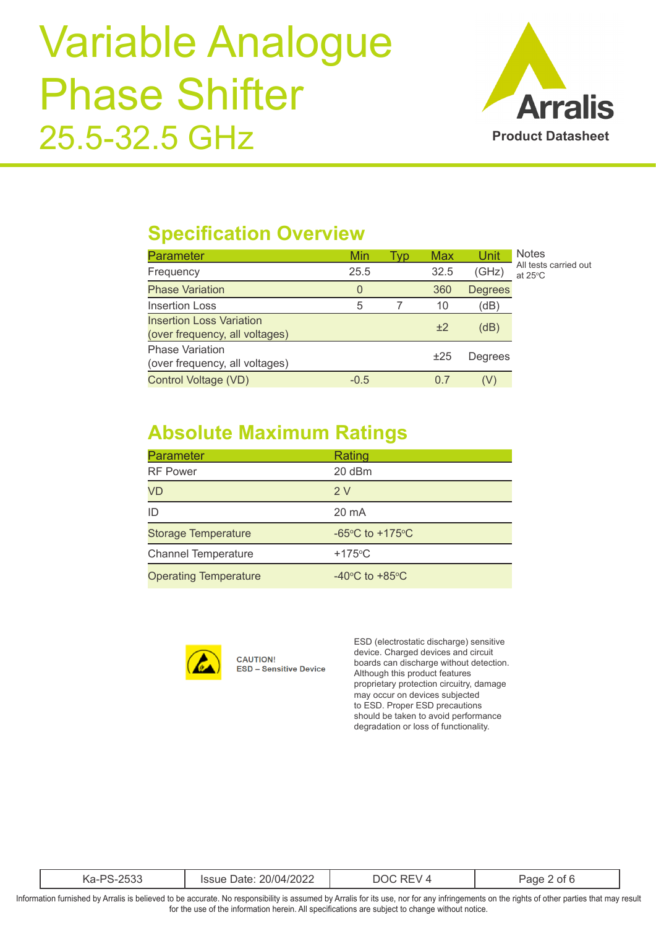

### **Specification Overview**

| <b>Parameter</b>                                                  | Min    | Tvp | Max  | Unit           | <b>Notes</b>                               |
|-------------------------------------------------------------------|--------|-----|------|----------------|--------------------------------------------|
| Frequency                                                         | 25.5   |     | 32.5 | (GHz)          | All tests carried out<br>at $25^{\circ}$ C |
| <b>Phase Variation</b>                                            | 0      |     | 360  | <b>Degrees</b> |                                            |
| Insertion Loss                                                    | 5      |     | 10   | (dB)           |                                            |
| <b>Insertion Loss Variation</b><br>(over frequency, all voltages) |        |     | ±2   | (dB)           |                                            |
| <b>Phase Variation</b><br>(over frequency, all voltages)          |        |     | ±25  | Degrees        |                                            |
| Control Voltage (VD)                                              | $-0.5$ |     | 0.7  | (V)            |                                            |

### **Absolute Maximum Ratings**

| Parameter                    | Rating                                                |
|------------------------------|-------------------------------------------------------|
| <b>RF Power</b>              | 20 dBm                                                |
| VD                           | 2V                                                    |
| ID                           | 20 mA                                                 |
| <b>Storage Temperature</b>   | -65 $\mathrm{^{\circ}C}$ to +175 $\mathrm{^{\circ}C}$ |
| <b>Channel Temperature</b>   | $+175^{\circ}$ C                                      |
| <b>Operating Temperature</b> | $-40^{\circ}$ C to $+85^{\circ}$ C                    |



**CAUTION! ESD - Sensitive Device**  ESD (electrostatic discharge) sensitive device. Charged devices and circuit boards can discharge without detection. Although this product features proprietary protection circuitry, damage may occur on devices subjected to ESD. Proper ESD precautions should be taken to avoid performance degradation or loss of functionality.

| $- - -$ | ור |
|---------|----|
|         |    |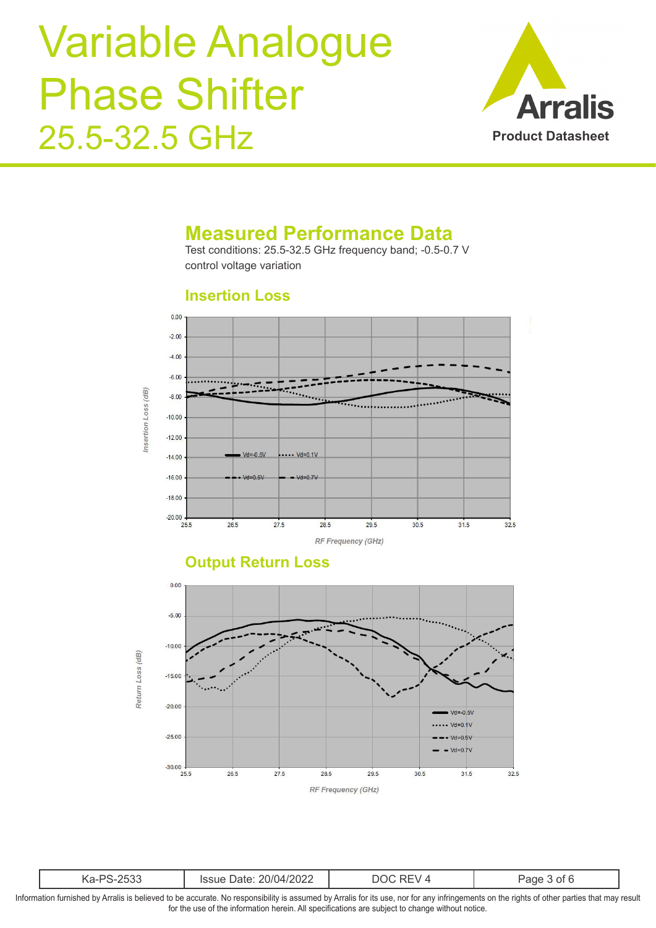

#### **Measured Performance Data**

Test conditions: 25.5-32.5 GHz frequency band; -0.5-0.7 V control voltage variation

#### **Insertion Loss**



#### **Output Return Loss**



| 1202 <sup>o</sup><br>$\cap$ $\cap$ $\cap$<br>/1/(14 ا<br>`SSUE<br>м<br>uate:<br>ZUZZ<br>`\a<br>uuu |
|----------------------------------------------------------------------------------------------------|
|----------------------------------------------------------------------------------------------------|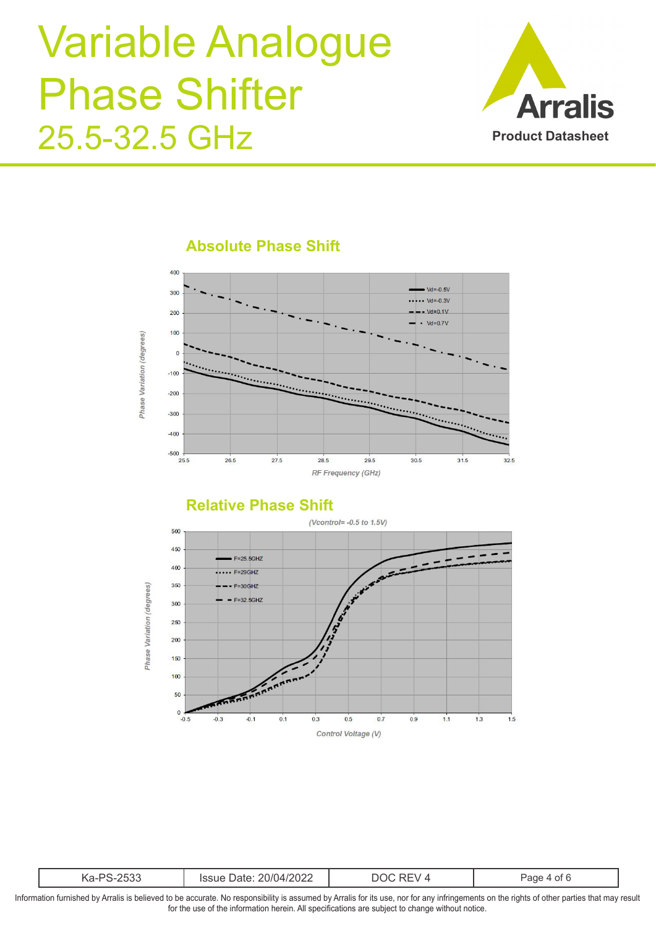



#### **Absolute Phase Shift**



|  | ່າ | .<br>202 <sub>4</sub><br>. |  | . |
|--|----|----------------------------|--|---|
|--|----|----------------------------|--|---|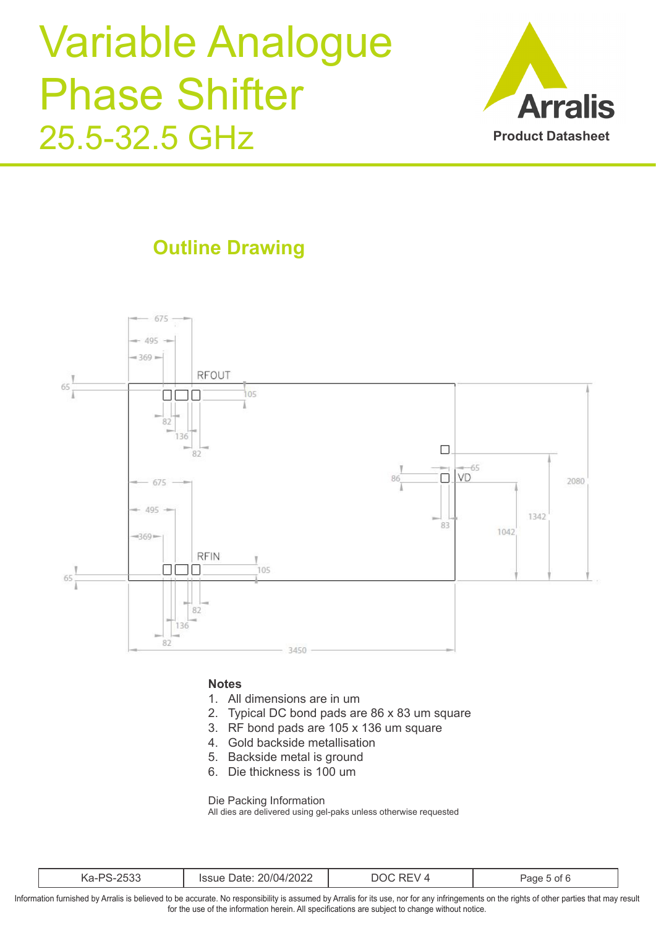

## **Outline Drawing**



#### **Notes**

- 1. All dimensions are in um
- 2. Typical DC bond pads are 86 x 83 um square
- 3. RF bond pads are 105 x 136 um square
- 4. Gold backside metallisation
- 5. Backside metal is ground
- 6. Die thickness is 100 um

Die Packing Information

All dies are delivered using gel-paks unless otherwise requested

| $\cap$ $\cap$ $\cap$<br>∍∩<br>.\d<br>ハン | 20/04/2022<br>'ssue<br>Dalt. | $\mathbf{v}$<br>10 | -<br>. ot F<br>ane |
|-----------------------------------------|------------------------------|--------------------|--------------------|
|-----------------------------------------|------------------------------|--------------------|--------------------|